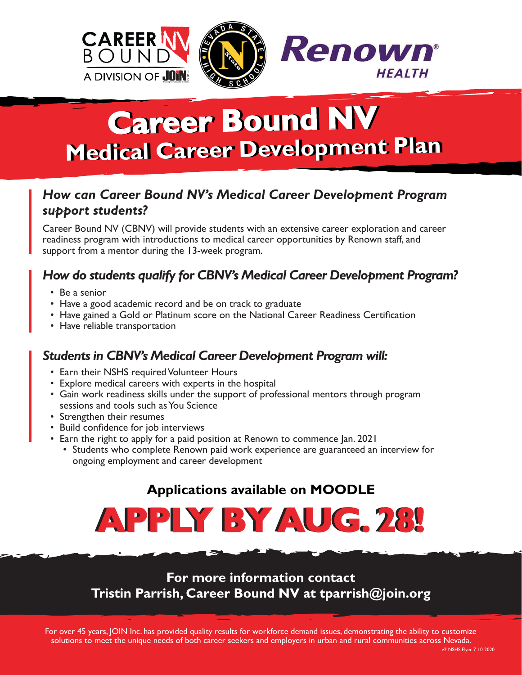

# **Career Bound NV Career Bound NV Medical Career Development Plan Medical Career Development Plan**

## *How can Career Bound NV's Medical Career Development Program support students?*

Career Bound NV (CBNV) will provide students with an extensive career exploration and career readiness program with introductions to medical career opportunities by Renown staff, and support from a mentor during the 13-week program.

## *How do students qualify for CBNV's Medical Career Development Program?*

- Be a senior
- Have a good academic record and be on track to graduate
- Have gained a Gold or Platinum score on the National Career Readiness Certification
- Have reliable transportation

#### *Students in CBNV's Medical Career Development Program will:*

- Earn their NSHS required Volunteer Hours
- Explore medical careers with experts in the hospital
- Gain work readiness skills under the support of professional mentors through program sessions and tools such as You Science
- Strengthen their resumes
- Build confidence for job interviews
- Earn the right to apply for a paid position at Renown to commence Jan. 2021
	- Students who complete Renown paid work experience are guaranteed an interview for ongoing employment and career development

# **Applications available on MOODLE**



**For more information contact Tristin Parrish, Career Bound NV at tparrish@join.org**

For over 45 years, JOIN Inc. has provided quality results for workforce demand issues, demonstrating the ability to customize solutions to meet the unique needs of both career seekers and employers in urban and rural communities across Nevada.